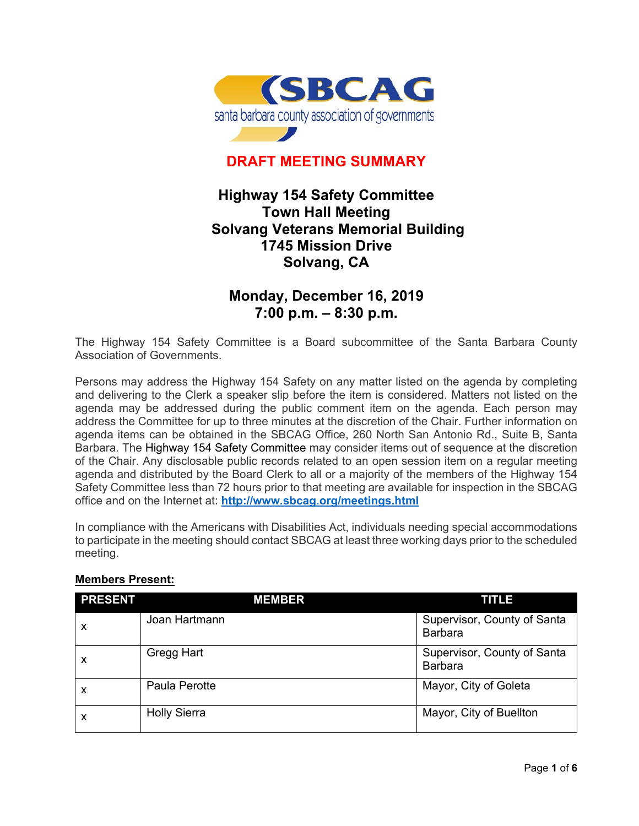

## **DRAFT MEETING SUMMARY**

## **Highway 154 Safety Committee Town Hall Meeting Solvang Veterans Memorial Building 1745 Mission Drive Solvang, CA**

## **Monday, December 16, 2019 7:00 p.m. – 8:30 p.m.**

The Highway 154 Safety Committee is a Board subcommittee of the Santa Barbara County Association of Governments.

Persons may address the Highway 154 Safety on any matter listed on the agenda by completing and delivering to the Clerk a speaker slip before the item is considered. Matters not listed on the agenda may be addressed during the public comment item on the agenda. Each person may address the Committee for up to three minutes at the discretion of the Chair. Further information on agenda items can be obtained in the SBCAG Office, 260 North San Antonio Rd., Suite B, Santa Barbara. The Highway 154 Safety Committee may consider items out of sequence at the discretion of the Chair. Any disclosable public records related to an open session item on a regular meeting agenda and distributed by the Board Clerk to all or a majority of the members of the Highway 154 Safety Committee less than 72 hours prior to that meeting are available for inspection in the SBCAG office and on the Internet at: **<http://www.sbcag.org/meetings.html>**

In compliance with the Americans with Disabilities Act, individuals needing special accommodations to participate in the meeting should contact SBCAG at least three working days prior to the scheduled meeting.

| <b>PRESENT</b> | <b>MEMBER</b>       | TITLE                                         |
|----------------|---------------------|-----------------------------------------------|
| X              | Joan Hartmann       | Supervisor, County of Santa<br><b>Barbara</b> |
| X              | Gregg Hart          | Supervisor, County of Santa<br><b>Barbara</b> |
| X              | Paula Perotte       | Mayor, City of Goleta                         |
| X              | <b>Holly Sierra</b> | Mayor, City of Buellton                       |

## **Members Present:**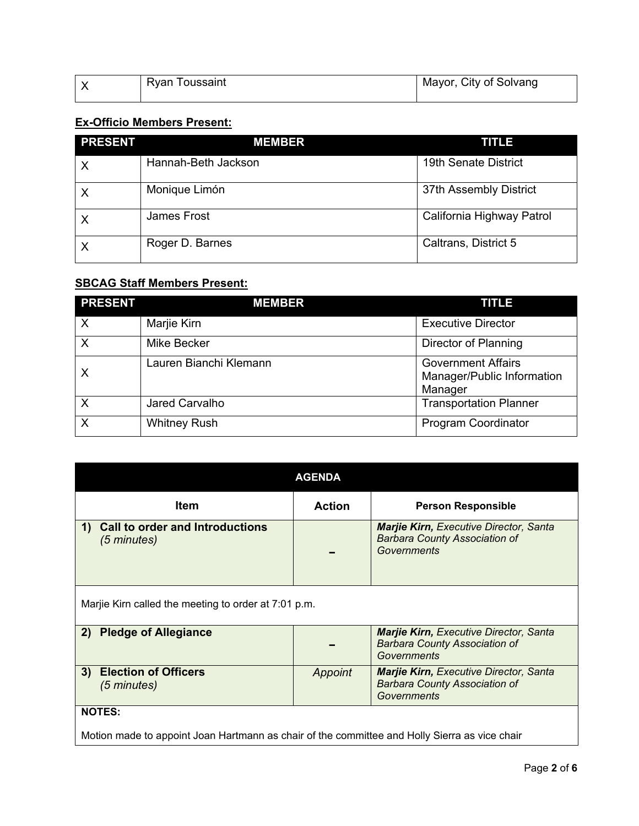| oussaint<br>Rvan | Mayor, City of Solvang |
|------------------|------------------------|
|                  |                        |

# **Ex-Officio Members Present:**

| <b>PRESENT</b> | <b>MEMBER</b>       | <b>TITLE</b>              |
|----------------|---------------------|---------------------------|
| X              | Hannah-Beth Jackson | 19th Senate District      |
| $\times$       | Monique Limón       | 37th Assembly District    |
| Χ              | James Frost         | California Highway Patrol |
|                | Roger D. Barnes     | Caltrans, District 5      |

## **SBCAG Staff Members Present:**

| <b>PRESENT</b>            | <b>MEMBER</b>          | <b>TITLE</b>                                                       |
|---------------------------|------------------------|--------------------------------------------------------------------|
| $\boldsymbol{\mathsf{X}}$ | Marjie Kirn            | <b>Executive Director</b>                                          |
| $\sf X$                   | <b>Mike Becker</b>     | Director of Planning                                               |
| $\times$                  | Lauren Bianchi Klemann | <b>Government Affairs</b><br>Manager/Public Information<br>Manager |
| $\times$                  | Jared Carvalho         | <b>Transportation Planner</b>                                      |
| X                         | <b>Whitney Rush</b>    | <b>Program Coordinator</b>                                         |

| <b>AGENDA</b>                                                                                                  |               |                                                                                                      |  |
|----------------------------------------------------------------------------------------------------------------|---------------|------------------------------------------------------------------------------------------------------|--|
| <b>Item</b>                                                                                                    | <b>Action</b> | <b>Person Responsible</b>                                                                            |  |
| <b>Call to order and Introductions</b><br>1)<br>(5 minutes)                                                    |               | <b>Marjie Kirn, Executive Director, Santa</b><br><b>Barbara County Association of</b><br>Governments |  |
| Marjie Kirn called the meeting to order at 7:01 p.m.                                                           |               |                                                                                                      |  |
| <b>Pledge of Allegiance</b><br>2)                                                                              |               | <b>Marjie Kirn, Executive Director, Santa</b><br><b>Barbara County Association of</b><br>Governments |  |
| <b>Election of Officers</b><br>3)<br>(5 minutes)                                                               | Appoint       | <b>Marjie Kirn, Executive Director, Santa</b><br><b>Barbara County Association of</b><br>Governments |  |
| <b>NOTES:</b><br>Motion made to appoint Joan Hartmann as chair of the committee and Holly Sierra as vice chair |               |                                                                                                      |  |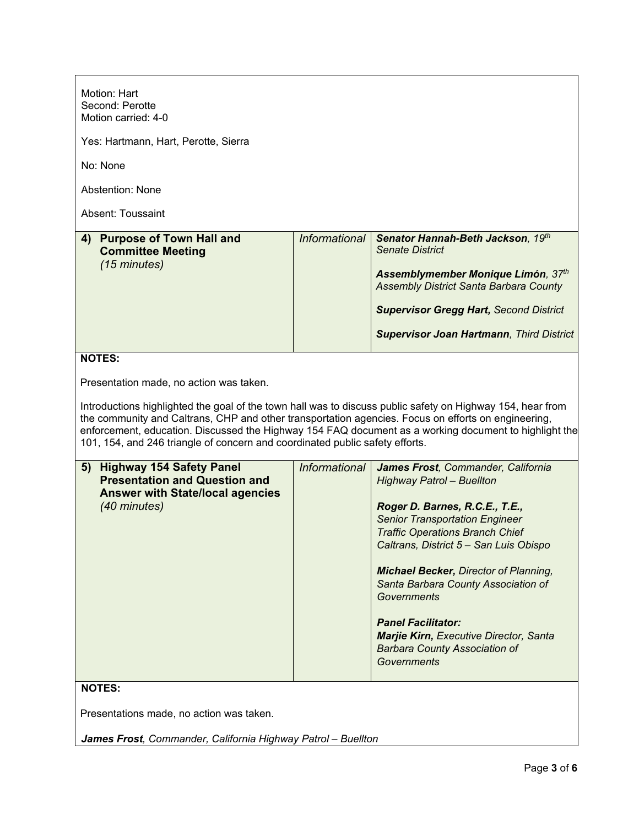| Motion: Hart<br>Second: Perotte<br>Motion carried: 4-0                                                                                                                                                                                                                                                                                                                                                                                                |                      |                                                                                                                                                                                                                                                                                                                                                                                                                                                                                                |  |
|-------------------------------------------------------------------------------------------------------------------------------------------------------------------------------------------------------------------------------------------------------------------------------------------------------------------------------------------------------------------------------------------------------------------------------------------------------|----------------------|------------------------------------------------------------------------------------------------------------------------------------------------------------------------------------------------------------------------------------------------------------------------------------------------------------------------------------------------------------------------------------------------------------------------------------------------------------------------------------------------|--|
| Yes: Hartmann, Hart, Perotte, Sierra                                                                                                                                                                                                                                                                                                                                                                                                                  |                      |                                                                                                                                                                                                                                                                                                                                                                                                                                                                                                |  |
| No: None                                                                                                                                                                                                                                                                                                                                                                                                                                              |                      |                                                                                                                                                                                                                                                                                                                                                                                                                                                                                                |  |
| <b>Abstention: None</b>                                                                                                                                                                                                                                                                                                                                                                                                                               |                      |                                                                                                                                                                                                                                                                                                                                                                                                                                                                                                |  |
| Absent: Toussaint                                                                                                                                                                                                                                                                                                                                                                                                                                     |                      |                                                                                                                                                                                                                                                                                                                                                                                                                                                                                                |  |
| 4) Purpose of Town Hall and<br><b>Committee Meeting</b><br>(15 minutes)                                                                                                                                                                                                                                                                                                                                                                               | Informational        | Senator Hannah-Beth Jackson, 19th<br><b>Senate District</b><br>Assemblymember Monique Limón, 37th<br><b>Assembly District Santa Barbara County</b><br><b>Supervisor Gregg Hart, Second District</b><br><b>Supervisor Joan Hartmann, Third District</b>                                                                                                                                                                                                                                         |  |
| <b>NOTES:</b>                                                                                                                                                                                                                                                                                                                                                                                                                                         |                      |                                                                                                                                                                                                                                                                                                                                                                                                                                                                                                |  |
| Presentation made, no action was taken.<br>Introductions highlighted the goal of the town hall was to discuss public safety on Highway 154, hear from<br>the community and Caltrans, CHP and other transportation agencies. Focus on efforts on engineering,<br>enforcement, education. Discussed the Highway 154 FAQ document as a working document to highlight the<br>101, 154, and 246 triangle of concern and coordinated public safety efforts. |                      |                                                                                                                                                                                                                                                                                                                                                                                                                                                                                                |  |
| 5) Highway 154 Safety Panel<br><b>Presentation and Question and</b><br><b>Answer with State/local agencies</b><br>(40 minutes)                                                                                                                                                                                                                                                                                                                        | <b>Informational</b> | James Frost, Commander, California<br><b>Highway Patrol - Buellton</b><br>Roger D. Barnes, R.C.E., T.E.,<br><b>Senior Transportation Engineer</b><br><b>Traffic Operations Branch Chief</b><br>Caltrans, District 5 - San Luis Obispo<br><b>Michael Becker, Director of Planning,</b><br>Santa Barbara County Association of<br><b>Governments</b><br><b>Panel Facilitator:</b><br><b>Marjie Kirn, Executive Director, Santa</b><br><b>Barbara County Association of</b><br><b>Governments</b> |  |
| <b>NOTES:</b>                                                                                                                                                                                                                                                                                                                                                                                                                                         |                      |                                                                                                                                                                                                                                                                                                                                                                                                                                                                                                |  |
| Presentations made, no action was taken.                                                                                                                                                                                                                                                                                                                                                                                                              |                      |                                                                                                                                                                                                                                                                                                                                                                                                                                                                                                |  |

*James Frost, Commander, California Highway Patrol – Buellton*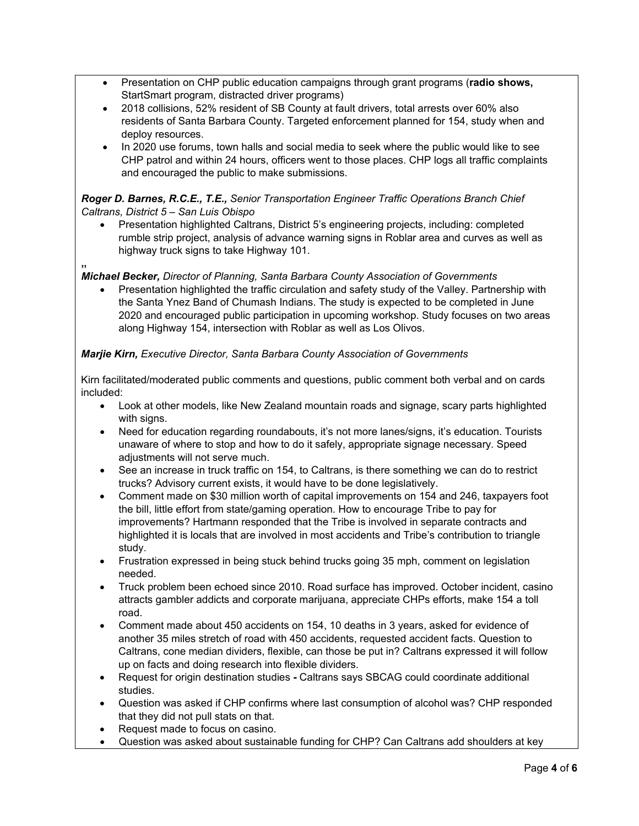- Presentation on CHP public education campaigns through grant programs (**radio shows,**  StartSmart program, distracted driver programs)
- 2018 collisions, 52% resident of SB County at fault drivers, total arrests over 60% also residents of Santa Barbara County. Targeted enforcement planned for 154, study when and deploy resources.
- In 2020 use forums, town halls and social media to seek where the public would like to see CHP patrol and within 24 hours, officers went to those places. CHP logs all traffic complaints and encouraged the public to make submissions.

#### *Roger D. Barnes, R.C.E., T.E., Senior Transportation Engineer Traffic Operations Branch Chief Caltrans, District 5 – San Luis Obispo*

- Presentation highlighted Caltrans, District 5's engineering projects, including: completed rumble strip project, analysis of advance warning signs in Roblar area and curves as well as highway truck signs to take Highway 101.
- **,,**

#### *Michael Becker, Director of Planning, Santa Barbara County Association of Governments*

• Presentation highlighted the traffic circulation and safety study of the Valley. Partnership with the Santa Ynez Band of Chumash Indians. The study is expected to be completed in June 2020 and encouraged public participation in upcoming workshop. Study focuses on two areas along Highway 154, intersection with Roblar as well as Los Olivos.

### *Marjie Kirn, Executive Director, Santa Barbara County Association of Governments*

Kirn facilitated/moderated public comments and questions, public comment both verbal and on cards included:

- Look at other models, like New Zealand mountain roads and signage, scary parts highlighted with signs.
- Need for education regarding roundabouts, it's not more lanes/signs, it's education. Tourists unaware of where to stop and how to do it safely, appropriate signage necessary. Speed adjustments will not serve much.
- See an increase in truck traffic on 154, to Caltrans, is there something we can do to restrict trucks? Advisory current exists, it would have to be done legislatively.
- Comment made on \$30 million worth of capital improvements on 154 and 246, taxpayers foot the bill, little effort from state/gaming operation. How to encourage Tribe to pay for improvements? Hartmann responded that the Tribe is involved in separate contracts and highlighted it is locals that are involved in most accidents and Tribe's contribution to triangle study.
- Frustration expressed in being stuck behind trucks going 35 mph, comment on legislation needed.
- Truck problem been echoed since 2010. Road surface has improved. October incident, casino attracts gambler addicts and corporate marijuana, appreciate CHPs efforts, make 154 a toll road.
- Comment made about 450 accidents on 154, 10 deaths in 3 years, asked for evidence of another 35 miles stretch of road with 450 accidents, requested accident facts. Question to Caltrans, cone median dividers, flexible, can those be put in? Caltrans expressed it will follow up on facts and doing research into flexible dividers.
- Request for origin destination studies **-** Caltrans says SBCAG could coordinate additional studies.
- Question was asked if CHP confirms where last consumption of alcohol was? CHP responded that they did not pull stats on that.
- Request made to focus on casino.
- Question was asked about sustainable funding for CHP? Can Caltrans add shoulders at key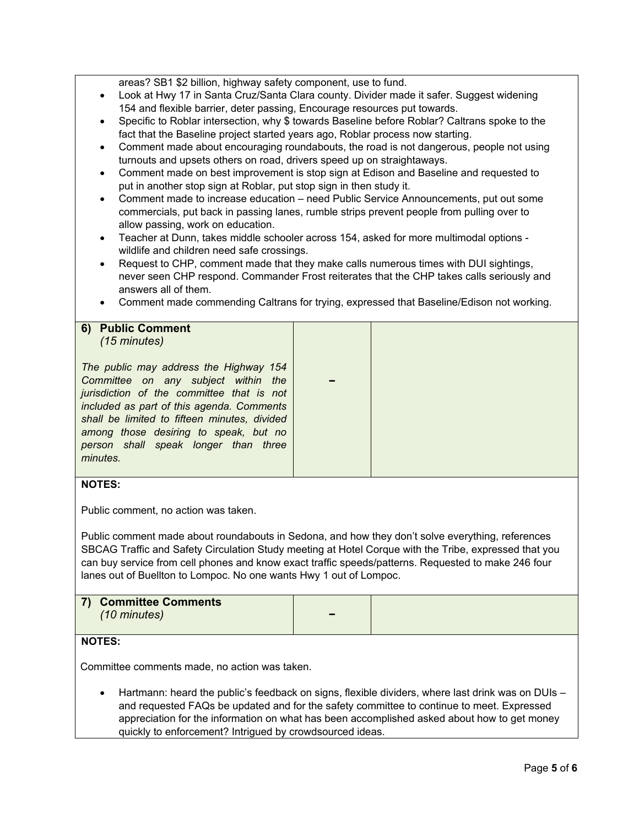areas? SB1 \$2 billion, highway safety component, use to fund.

- Look at Hwy 17 in Santa Cruz/Santa Clara county. Divider made it safer. Suggest widening 154 and flexible barrier, deter passing, Encourage resources put towards.
- Specific to Roblar intersection, why \$ towards Baseline before Roblar? Caltrans spoke to the fact that the Baseline project started years ago, Roblar process now starting.
- Comment made about encouraging roundabouts, the road is not dangerous, people not using turnouts and upsets others on road, drivers speed up on straightaways.
- Comment made on best improvement is stop sign at Edison and Baseline and requested to put in another stop sign at Roblar, put stop sign in then study it.
- Comment made to increase education need Public Service Announcements, put out some commercials, put back in passing lanes, rumble strips prevent people from pulling over to allow passing, work on education.
- Teacher at Dunn, takes middle schooler across 154, asked for more multimodal options wildlife and children need safe crossings.
- Request to CHP, comment made that they make calls numerous times with DUI sightings, never seen CHP respond. Commander Frost reiterates that the CHP takes calls seriously and answers all of them.
- Comment made commending Caltrans for trying, expressed that Baseline/Edison not working.

**−**

#### **6) Public Comment**  *(15 minutes)*

*The public may address the Highway 154 Committee on any subject within the jurisdiction of the committee that is not included as part of this agenda. Comments shall be limited to fifteen minutes, divided among those desiring to speak, but no person shall speak longer than three minutes.*

### **NOTES:**

Public comment, no action was taken.

Public comment made about roundabouts in Sedona, and how they don't solve everything, references SBCAG Traffic and Safety Circulation Study meeting at Hotel Corque with the Tribe, expressed that you can buy service from cell phones and know exact traffic speeds/patterns. Requested to make 246 four lanes out of Buellton to Lompoc. No one wants Hwy 1 out of Lompoc.

| 7) Committee Comments<br>$(10 \text{ minutes})$ | $\overline{\phantom{0}}$ |  |
|-------------------------------------------------|--------------------------|--|
|                                                 |                          |  |

#### **NOTES:**

Committee comments made, no action was taken.

• Hartmann: heard the public's feedback on signs, flexible dividers, where last drink was on DUIs – and requested FAQs be updated and for the safety committee to continue to meet. Expressed appreciation for the information on what has been accomplished asked about how to get money quickly to enforcement? Intrigued by crowdsourced ideas.